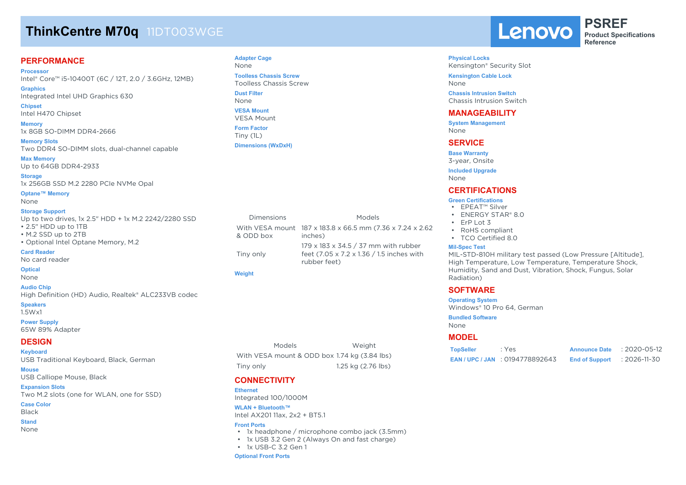# **ThinkCentre M70q** 11DT003WGE

### **PERFORMANCE**

**Processor** Intel® Core™ i5-10400T (6C / 12T, 2.0 / 3.6GHz, 12MB)

**Graphics** Integrated Intel UHD Graphics 630

**Chipset** Intel H470 Chipset

**Memory** 1x 8GB SO-DIMM DDR4-2666

**Memory Slots** Two DDR4 SO-DIMM slots, dual-channel capable

**Max Memory** Up to 64GB DDR4-2933

**Storage** 1x 256GB SSD M.2 2280 PCIe NVMe Opal

**Optane™ Memory** None

#### **Storage Support**

Up to two drives, 1x 2.5" HDD + 1x M.2 2242/2280 SSD • 2.5" HDD up to 1TB • M.2 SSD up to 2TB • Optional Intel Optane Memory, M.2 **Card Reader**

### No card reader

**Optical**

None

**Audio Chip** High Definition (HD) Audio, Realtek® ALC233VB codec

**Speakers** 1.5Wx1

**Power Supply** 65W 89% Adapter

#### **DESIGN**

**Keyboard** USB Traditional Keyboard, Black, German

**Mouse** USB Calliope Mouse, Black

#### **Expansion Slots**

Two M.2 slots (one for WLAN, one for SSD)

**Case Color**

## Black

**Stand** None

## **Adapter Cage**

None **Toolless Chassis Screw** Toolless Chassis Screw

**Dust Filter** None

**VESA Mount** VESA Mount

**Form Factor** Tiny (1L) **Dimensions (WxDxH)**

Dimensions Models With VESA mount 187 x 183.8 x 66.5 mm (7.36 x 7.24 x 2.62 & ODD box inches) Tiny only 179 x 183 x 34.5 / 37 mm with rubber feet (7.05 x 7.2 x 1.36 / 1.5 inches with

#### **Weight**

Models Weight With VESA mount & ODD box 1.74 kg (3.84 lbs) Tiny only 1.25 kg (2.76 lbs)

## **CONNECTIVITY**

**Ethernet** Integrated 100/1000M

**WLAN + Bluetooth™** Intel AX201 11ax, 2x2 + BT5.1

#### **Front Ports**

- 1x headphone / microphone combo jack (3.5mm)
- 1x USB 3.2 Gen 2 (Always On and fast charge)
- 1x USB-C 3.2 Gen 1

#### **Optional Front Ports**

Lenovo

**PSREF Product Specifications Reference**

#### **Physical Locks**

Kensington® Security Slot **Kensington Cable Lock** None

**Chassis Intrusion Switch** Chassis Intrusion Switch

### **MANAGEABILITY**

**System Management** None

#### **SERVICE**

**Base Warranty**

3-year, Onsite

**Included Upgrade** None

### **CERTIFICATIONS**

#### **Green Certifications**

- EPEAT™ Silver
- ENERGY STAR® 8.0
- ErP Lot 3
- RoHS compliant
- TCO Certified 8.0

#### **Mil-Spec Test**

MIL-STD-810H military test passed (Low Pressure [Altitude], High Temperature, Low Temperature, Temperature Shock, Humidity, Sand and Dust, Vibration, Shock, Fungus, Solar Radiation)

### **SOFTWARE**

**Operating System** Windows® 10 Pro 64, German

**Bundled Software**

None

### **MODEL**

| <b>TopSeller</b> | : Yes                             | <b>Announce Date</b>  | : 2020-05-12 |
|------------------|-----------------------------------|-----------------------|--------------|
|                  | <b>EAN/UPC/JAN: 0194778892643</b> | <b>End of Support</b> | :2026-11-30  |

rubber feet)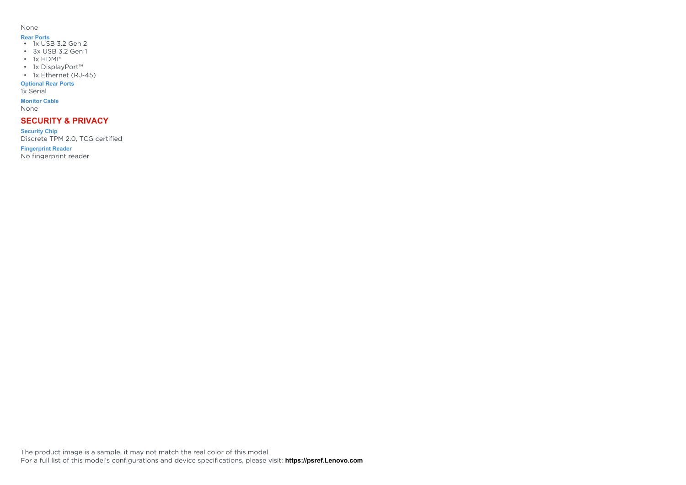#### None

- **Rear Ports** 1x USB 3.2 Gen 2
- 3x USB 3.2 Gen 1
- $\cdot$  1x HDMI<sup>®</sup>
- 1x DisplayPort™
- 1x Ethernet (RJ-45)

#### **Optional Rear Ports**

1x Serial

### **Monitor Cable**

None

## **SECURITY & PRIVACY**

**Security Chip** Discrete TPM 2.0, TCG certified

**Fingerprint Reader**

No fingerprint reader